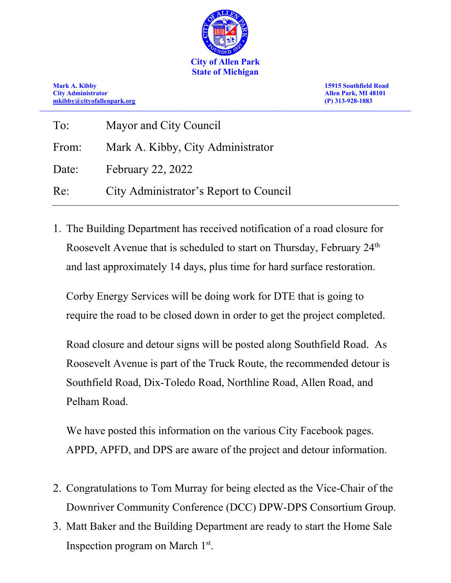

**Mark A. Kibby 15915 Southfield Road City Administrator Allen Park, MI 48101 [mkibby@cityofallenpark.org](mailto:mkibby@cityofallenpark.org) (P) 313-928-1883 \_\_\_\_\_\_\_\_\_\_\_\_\_\_\_\_\_\_\_\_\_\_\_\_\_\_\_\_\_\_\_\_\_\_\_\_\_\_\_\_\_\_\_\_\_\_\_\_\_\_\_\_\_\_\_\_\_\_\_\_\_\_\_\_\_\_\_\_\_\_\_\_\_\_\_\_\_\_\_\_\_\_\_\_\_\_\_\_\_\_\_\_\_\_\_\_\_\_\_\_\_\_\_\_\_\_\_\_\_\_\_\_\_\_\_\_\_\_\_\_\_\_\_\_\_\_**

| To:   | Mayor and City Council                 |
|-------|----------------------------------------|
| From: | Mark A. Kibby, City Administrator      |
| Date: | <b>February 22, 2022</b>               |
| Re:   | City Administrator's Report to Council |

1. The Building Department has received notification of a road closure for Roosevelt Avenue that is scheduled to start on Thursday, February 24<sup>th</sup> and last approximately 14 days, plus time for hard surface restoration.

Corby Energy Services will be doing work for DTE that is going to require the road to be closed down in order to get the project completed.

Road closure and detour signs will be posted along Southfield Road. As Roosevelt Avenue is part of the Truck Route, the recommended detour is Southfield Road, Dix-Toledo Road, Northline Road, Allen Road, and Pelham Road.

We have posted this information on the various City Facebook pages. APPD, APFD, and DPS are aware of the project and detour information.

- 2. Congratulations to Tom Murray for being elected as the Vice-Chair of the Downriver Community Conference (DCC) DPW-DPS Consortium Group.
- 3. Matt Baker and the Building Department are ready to start the Home Sale Inspection program on March 1st.